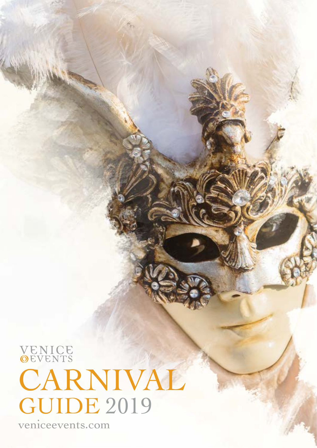**VENICE**<br> **OEVENTS** CARNIVAL GUIDE 2019

veniceevents.com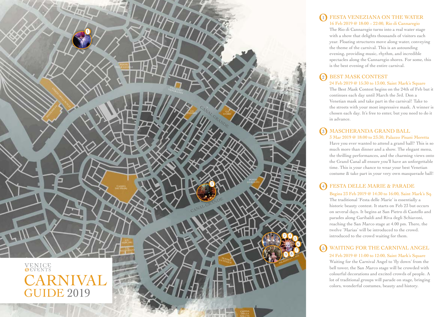

# 2 BEST MASK CONTEST

24 Feb 2019 @ 15:30 to 13:00, Saint Mark's Square The Best Mask Contest begins on the 24th of Feb but it continues each day until March the 3rd. Don a Venetian mask and take part in the carnival! Take to the streets with your most impressive mask. A winner is chosen each day. It's free to enter, but you need to do it in advance.

# 5 WAITING FOR THE CARNIVAL ANGEL

24 Feb 2019 @ 11:00 to 12:00, Saint Mark's Square Waiting for the Carnival Angel to 'fly down' from the bell tower, the San Marco stage will be crowded with colourful decorations and excited crowds of people. A lot of traditional groups will parade on stage, bringing colors, wonderful costumes, beauty and history.

### 1 FESTA VENEZIANA ON THE WATER 16 Feb 2019 @ 18:00 – 22:00, Rio di Cannaregio

The Rio di Cannaregio turns into a real water stage with a show that delights thousands of visitors each year. Floating structures move along water, conveying the theme of the carnival. This is an astounding evening, providing music, rhythm, and incredible spectacles along the Cannaregio shores. For some, this is the best evening of the entire carnival.

# 3 MASCHERANDA GRAND BALL 3 Mar 2019 @ 18:00 to 23:30, Palazzo Pisani Moretta

Have you ever wanted to attend a grand ball? This is so much more than dinner and a show. The elegant menu, the thrilling performances, and the charming views onto the Grand Canal all ensure you'll have an unforgettable time. This is your chance to wear your best Venetian costume & take part in your very own masquerade ball!

### 4 FESTA DELLE MARIE & PARADE

Begins 23 Feb 2019 @ 14:30 to 16:00, Saint Mark's Sq. The traditional 'Festa delle Marie' is essentially a historic beauty contest. It starts on Feb 23 but occurs on several days. It begins at San Pietro di Castello and parades along Garibaldi and Riva degli Schiavoni, reaching the San Marco stage at 4.00 pm. There, the twelve 'Marias' will be introduced to the crowd. introduced to the crowd waiting for them.